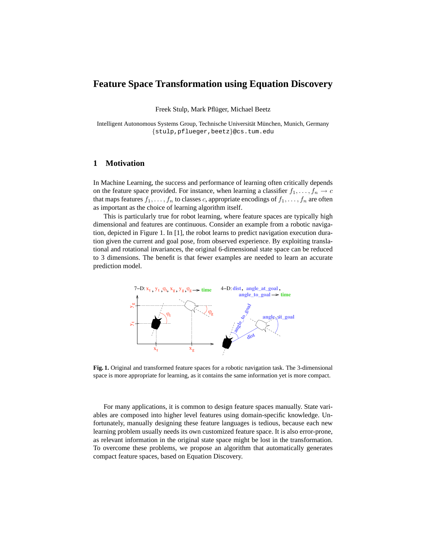# **Feature Space Transformation using Equation Discovery**

Freek Stulp, Mark Pflüger, Michael Beetz

Intelligent Autonomous Systems Group, Technische Universität München, Munich, Germany {stulp,pflueger,beetz}@cs.tum.edu

## **1 Motivation**

In Machine Learning, the success and performance of learning often critically depends on the feature space provided. For instance, when learning a classifier  $f_1, \ldots, f_n \to c$ that maps features  $f_1, \ldots, f_n$  to classes c, appropriate encodings of  $f_1, \ldots, f_n$  are often as important as the choice of learning algorithm itself.

This is particularly true for robot learning, where feature spaces are typically high dimensional and features are continuous. Consider an example from a robotic navigation, depicted in Figure 1. In [1], the robot learns to predict navigation execution duration given the current and goal pose, from observed experience. By exploiting translational and rotational invariances, the original 6-dimensional state space can be reduced to 3 dimensions. The benefit is that fewer examples are needed to learn an accurate prediction model.



**Fig. 1.** Original and transformed feature spaces for a robotic navigation task. The 3-dimensional space is more appropriate for learning, as it contains the same information yet is more compact.

For many applications, it is common to design feature spaces manually. State variables are composed into higher level features using domain-specific knowledge. Unfortunately, manually designing these feature languages is tedious, because each new learning problem usually needs its own customized feature space. It is also error-prone, as relevant information in the original state space might be lost in the transformation. To overcome these problems, we propose an algorithm that automatically generates compact feature spaces, based on Equation Discovery.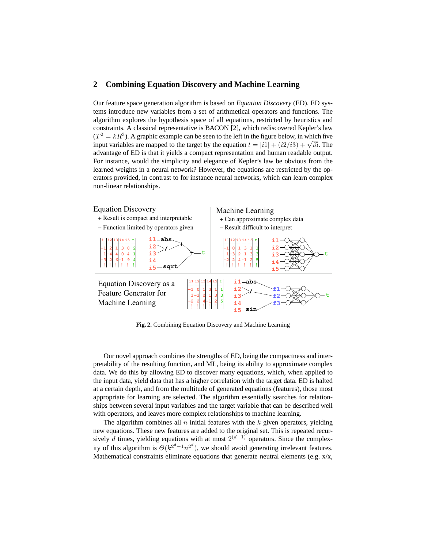### **2 Combining Equation Discovery and Machine Learning**

Our feature space generation algorithm is based on *Equation Discovery* (ED). ED systems introduce new variables from a set of arithmetical operators and functions. The algorithm explores the hypothesis space of all equations, restricted by heuristics and constraints. A classical representative is BACON [2], which rediscovered Kepler's law  $(T^2 = kR^3)$ . A graphic example can be seen to the left in the figure below, in which five  $(I^2 = \kappa R^3)$ . A graphic example can be seen to the left in the figure below, in which five input variables are mapped to the target by the equation  $t = |i1| + (i2/i3) + \sqrt{is}$ . The advantage of ED is that it yields a compact representation and human readable output. For instance, would the simplicity and elegance of Kepler's law be obvious from the learned weights in a neural network? However, the equations are restricted by the operators provided, in contrast to for instance neural networks, which can learn complex non-linear relationships.



**Fig. 2.** Combining Equation Discovery and Machine Learning

Our novel approach combines the strengths of ED, being the compactness and interpretability of the resulting function, and ML, being its ability to approximate complex data. We do this by allowing ED to discover many equations, which, when applied to the input data, yield data that has a higher correlation with the target data. ED is halted at a certain depth, and from the multitude of generated equations (features), those most appropriate for learning are selected. The algorithm essentially searches for relationships between several input variables and the target variable that can be described well with operators, and leaves more complex relationships to machine learning.

The algorithm combines all  $n$  initial features with the  $k$  given operators, yielding new equations. These new features are added to the original set. This is repeated recursively d times, yielding equations with at most  $2^{(d-1)}$  operators. Since the complexity of this algorithm is  $\Theta(k^{2^d-1}n^{2^d})$ , we should avoid generating irrelevant features. Mathematical constraints eliminate equations that generate neutral elements (e.g. x/x,